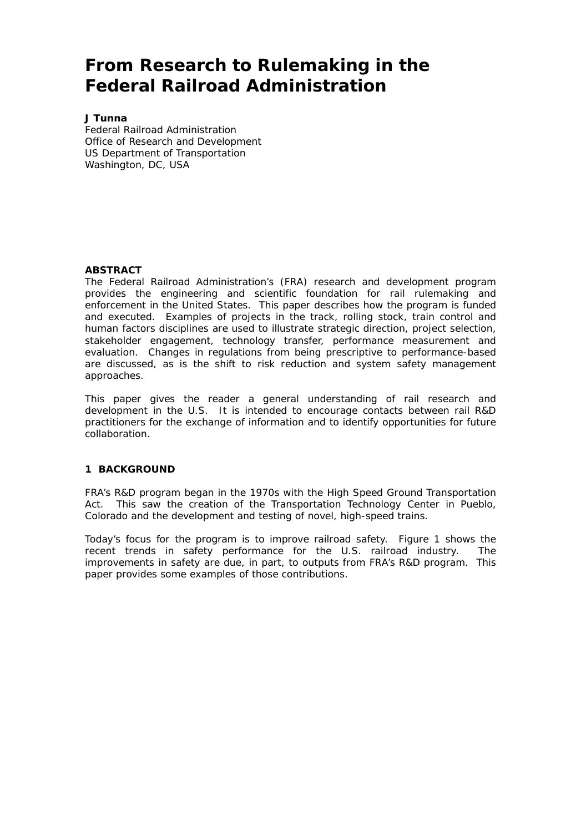# **From Research to Rulemaking in the Federal Railroad Administration**

#### **J Tunna**

Federal Railroad Administration Office of Research and Development US Department of Transportation Washington, DC, USA

#### **ABSTRACT**

The Federal Railroad Administration's (FRA) research and development program provides the engineering and scientific foundation for rail rulemaking and enforcement in the United States. This paper describes how the program is funded and executed. Examples of projects in the track, rolling stock, train control and human factors disciplines are used to illustrate strategic direction, project selection, stakeholder engagement, technology transfer, performance measurement and evaluation. Changes in regulations from being prescriptive to performance-based are discussed, as is the shift to risk reduction and system safety management approaches.

This paper gives the reader a general understanding of rail research and development in the U.S. It is intended to encourage contacts between rail R&D practitioners for the exchange of information and to identify opportunities for future collaboration.

## **1 BACKGROUND**

FRA's R&D program began in the 1970s with the High Speed Ground Transportation Act. This saw the creation of the Transportation Technology Center in Pueblo, Colorado and the development and testing of novel, high-speed trains.

Today's focus for the program is to improve railroad safety. Figure 1 shows the recent trends in safety performance for the U.S. railroad industry. The improvements in safety are due, in part, to outputs from FRA's R&D program. This paper provides some examples of those contributions.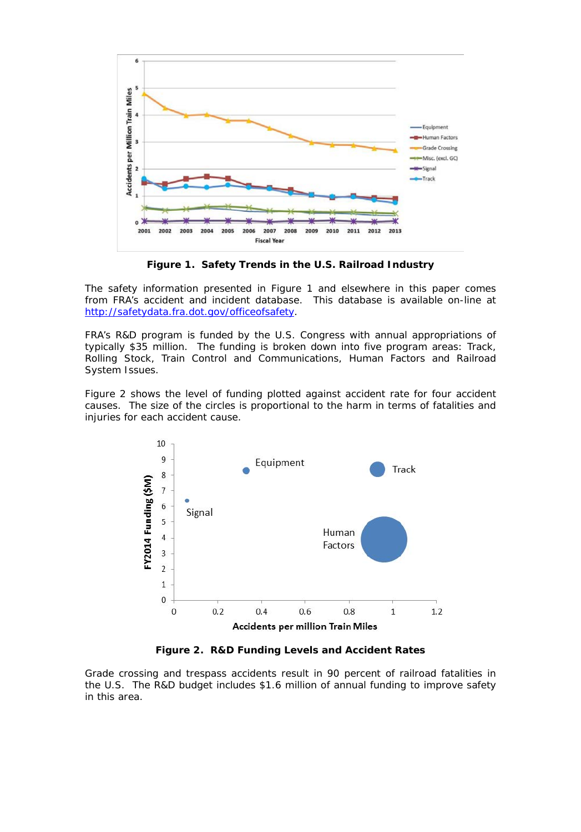

**Figure 1. Safety Trends in the U.S. Railroad Industry**

The safety information presented in Figure 1 and elsewhere in this paper comes from FRA's accident and incident database. This database is available on-line at [http://safetydata.fra.dot.gov/officeofsafety.](http://safetydata.fra.dot.gov/officeofsafety)

FRA's R&D program is funded by the U.S. Congress with annual appropriations of typically \$35 million. The funding is broken down into five program areas: Track, Rolling Stock, Train Control and Communications, Human Factors and Railroad System Issues.

Figure 2 shows the level of funding plotted against accident rate for four accident causes. The size of the circles is proportional to the harm in terms of fatalities and injuries for each accident cause.



**Figure 2. R&D Funding Levels and Accident Rates**

Grade crossing and trespass accidents result in 90 percent of railroad fatalities in the U.S. The R&D budget includes \$1.6 million of annual funding to improve safety in this area.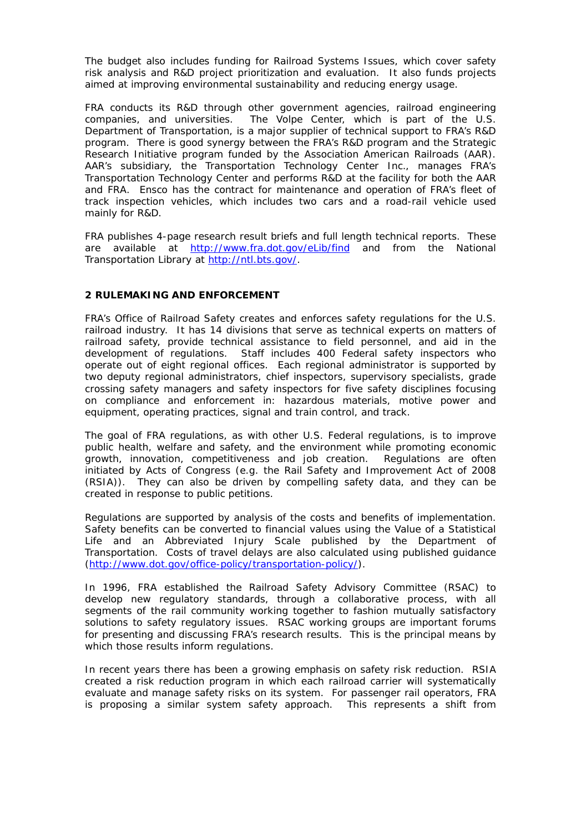The budget also includes funding for Railroad Systems Issues, which cover safety risk analysis and R&D project prioritization and evaluation. It also funds projects aimed at improving environmental sustainability and reducing energy usage.

FRA conducts its R&D through other government agencies, railroad engineering companies, and universities. The Volpe Center, which is part of the U.S. Department of Transportation, is a major supplier of technical support to FRA's R&D program. There is good synergy between the FRA's R&D program and the Strategic Research Initiative program funded by the Association American Railroads (AAR). AAR's subsidiary, the Transportation Technology Center Inc., manages FRA's Transportation Technology Center and performs R&D at the facility for both the AAR and FRA. Ensco has the contract for maintenance and operation of FRA's fleet of track inspection vehicles, which includes two cars and a road-rail vehicle used mainly for R&D.

FRA publishes 4-page research result briefs and full length technical reports. These are available at <http://www.fra.dot.gov/eLib/find> and from the National Transportation Library a[t http://ntl.bts.gov/.](http://ntl.bts.gov/)

## **2 RULEMAKING AND ENFORCEMENT**

FRA's Office of Railroad Safety creates and enforces safety regulations for the U.S. railroad industry. It has 14 divisions that serve as technical experts on matters of railroad safety, provide technical assistance to field personnel, and aid in the development of regulations. Staff includes 400 Federal safety inspectors who operate out of eight regional offices. Each regional administrator is supported by two deputy regional administrators, chief inspectors, supervisory specialists, grade crossing safety managers and safety inspectors for five safety disciplines focusing on compliance and enforcement in: hazardous materials, motive power and equipment, operating practices, signal and train control, and track.

The goal of FRA regulations, as with other U.S. Federal regulations, is to improve public health, welfare and safety, and the environment while promoting economic growth, innovation, competitiveness and job creation. Regulations are often initiated by Acts of Congress (e.g. the Rail Safety and Improvement Act of 2008 (RSIA)). They can also be driven by compelling safety data, and they can be created in response to public petitions.

Regulations are supported by analysis of the costs and benefits of implementation. Safety benefits can be converted to financial values using the Value of a Statistical Life and an Abbreviated Injury Scale published by the Department of Transportation. Costs of travel delays are also calculated using published guidance [\(http://www.dot.gov/office-policy/transportation-policy/\)](http://www.dot.gov/office-policy/transportation-policy/guidance-value-time).

In 1996, FRA established the Railroad Safety Advisory Committee (RSAC) to develop new regulatory standards, through a collaborative process, with all segments of the rail community working together to fashion mutually satisfactory solutions to safety regulatory issues. RSAC working groups are important forums for presenting and discussing FRA's research results. This is the principal means by which those results inform regulations.

In recent years there has been a growing emphasis on safety risk reduction. RSIA created a risk reduction program in which each railroad carrier will systematically evaluate and manage safety risks on its system. For passenger rail operators, FRA is proposing a similar system safety approach. This represents a shift from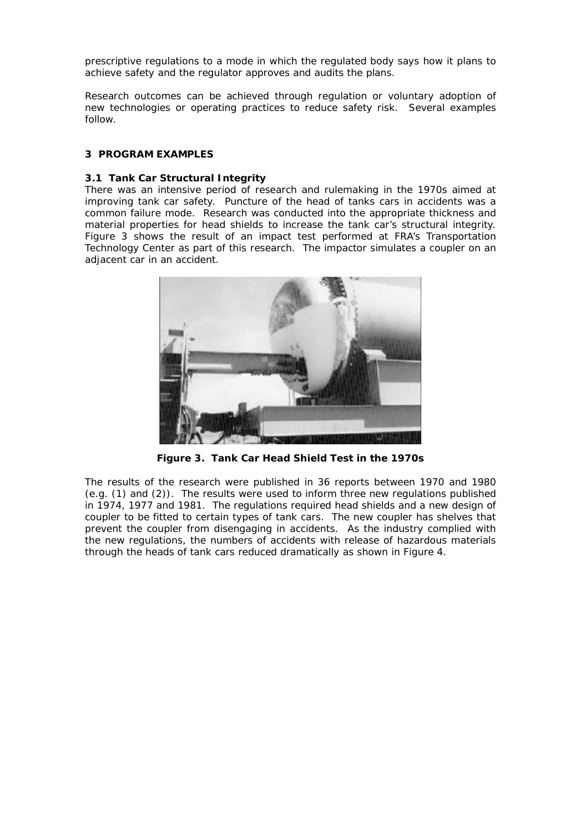prescriptive regulations to a mode in which the regulated body says how it plans to achieve safety and the regulator approves and audits the plans.

Research outcomes can be achieved through regulation or voluntary adoption of new technologies or operating practices to reduce safety risk. Several examples follow.

## **3 PROGRAM EXAMPLES**

#### **3.1 Tank Car Structural Integrity**

There was an intensive period of research and rulemaking in the 1970s aimed at improving tank car safety. Puncture of the head of tanks cars in accidents was a common failure mode. Research was conducted into the appropriate thickness and material properties for head shields to increase the tank car's structural integrity. Figure 3 shows the result of an impact test performed at FRA's Transportation Technology Center as part of this research. The impactor simulates a coupler on an adjacent car in an accident.



**Figure 3. Tank Car Head Shield Test in the 1970s**

The results of the research were published in 36 reports between 1970 and 1980 (e.g. (1) and (2)). The results were used to inform three new regulations published in 1974, 1977 and 1981. The regulations required head shields and a new design of coupler to be fitted to certain types of tank cars. The new coupler has shelves that prevent the coupler from disengaging in accidents. As the industry complied with the new regulations, the numbers of accidents with release of hazardous materials through the heads of tank cars reduced dramatically as shown in Figure 4.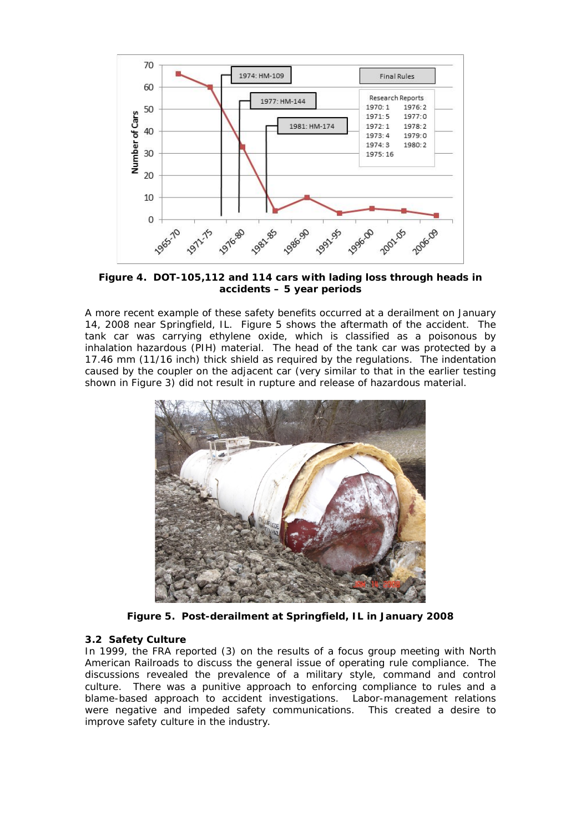

**Figure 4. DOT-105,112 and 114 cars with lading loss through heads in accidents – 5 year periods**

A more recent example of these safety benefits occurred at a derailment on January 14, 2008 near Springfield, IL. Figure 5 shows the aftermath of the accident. The tank car was carrying ethylene oxide, which is classified as a poisonous by inhalation hazardous (PIH) material. The head of the tank car was protected by a 17.46 mm (11/16 inch) thick shield as required by the regulations. The indentation caused by the coupler on the adjacent car (very similar to that in the earlier testing shown in Figure 3) did not result in rupture and release of hazardous material.



**Figure 5. Post-derailment at Springfield, IL in January 2008**

## **3.2 Safety Culture**

In 1999, the FRA reported (3) on the results of a focus group meeting with North American Railroads to discuss the general issue of operating rule compliance. The discussions revealed the prevalence of a military style, command and control culture. There was a punitive approach to enforcing compliance to rules and a blame-based approach to accident investigations. Labor-management relations were negative and impeded safety communications. This created a desire to improve safety culture in the industry.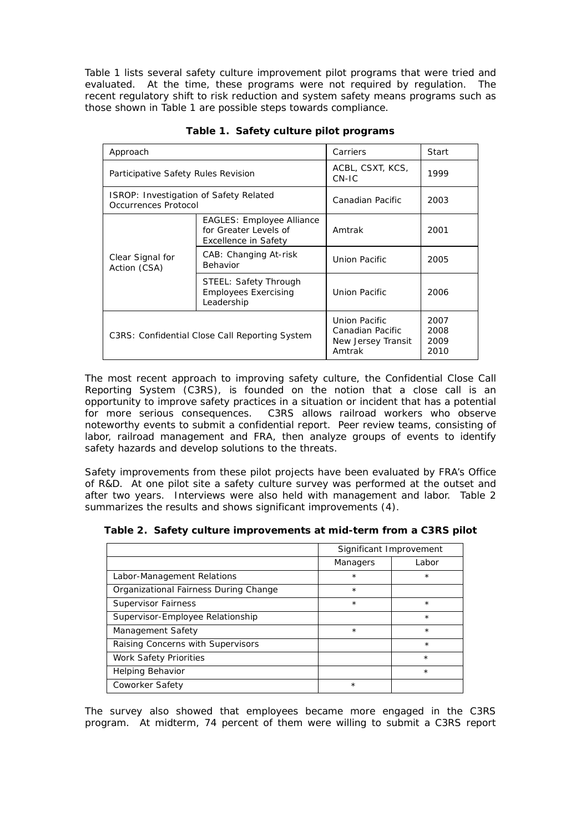Table 1 lists several safety culture improvement pilot programs that were tried and evaluated. At the time, these programs were not required by regulation. The recent regulatory shift to risk reduction and system safety means programs such as those shown in Table 1 are possible steps towards compliance.

| Approach                                                       |                                                                                   | Carriers                                                          | Start                        |
|----------------------------------------------------------------|-----------------------------------------------------------------------------------|-------------------------------------------------------------------|------------------------------|
| Participative Safety Rules Revision                            |                                                                                   | ACBL, CSXT, KCS,<br>CN-IC                                         | 1999                         |
| ISROP: Investigation of Safety Related<br>Occurrences Protocol |                                                                                   | Canadian Pacific                                                  | 2003                         |
| Clear Signal for<br>Action (CSA)                               | <b>EAGLES: Employee Alliance</b><br>for Greater Levels of<br>Excellence in Safety | Amtrak                                                            | 2001                         |
|                                                                | CAB: Changing At-risk<br>Behavior                                                 | Union Pacific                                                     | 2005                         |
|                                                                | STEEL: Safety Through<br><b>Employees Exercising</b><br>Leadership                | Union Pacific                                                     | 2006                         |
| C3RS: Confidential Close Call Reporting System                 |                                                                                   | Union Pacific<br>Canadian Pacific<br>New Jersey Transit<br>Amtrak | 2007<br>2008<br>2009<br>2010 |

**Table 1. Safety culture pilot programs**

The most recent approach to improving safety culture, the Confidential Close Call Reporting System (C3RS), is founded on the notion that a close call is an opportunity to improve safety practices in a situation or incident that has a potential for more serious consequences. C3RS allows railroad workers who observe noteworthy events to submit a confidential report. Peer review teams, consisting of labor, railroad management and FRA, then analyze groups of events to identify safety hazards and develop solutions to the threats.

Safety improvements from these pilot projects have been evaluated by FRA's Office of R&D. At one pilot site a safety culture survey was performed at the outset and after two years. Interviews were also held with management and labor. Table 2 summarizes the results and shows significant improvements (4).

**Table 2. Safety culture improvements at mid-term from a C3RS pilot**

|                                       | Significant Improvement |         |
|---------------------------------------|-------------------------|---------|
|                                       | Managers                | Labor   |
| Labor-Management Relations            | $\star$                 | $\star$ |
| Organizational Fairness During Change | $\star$                 |         |
| Supervisor Fairness                   | $\star$                 | $\star$ |
| Supervisor-Employee Relationship      |                         | $\star$ |
| Management Safety                     | $\star$                 | $\star$ |
| Raising Concerns with Supervisors     |                         | $\star$ |
| Work Safety Priorities                |                         | $\star$ |
| Helping Behavior                      |                         | $\star$ |
| Coworker Safety                       | $\star$                 |         |

The survey also showed that employees became more engaged in the C3RS program. At midterm, 74 percent of them were willing to submit a C3RS report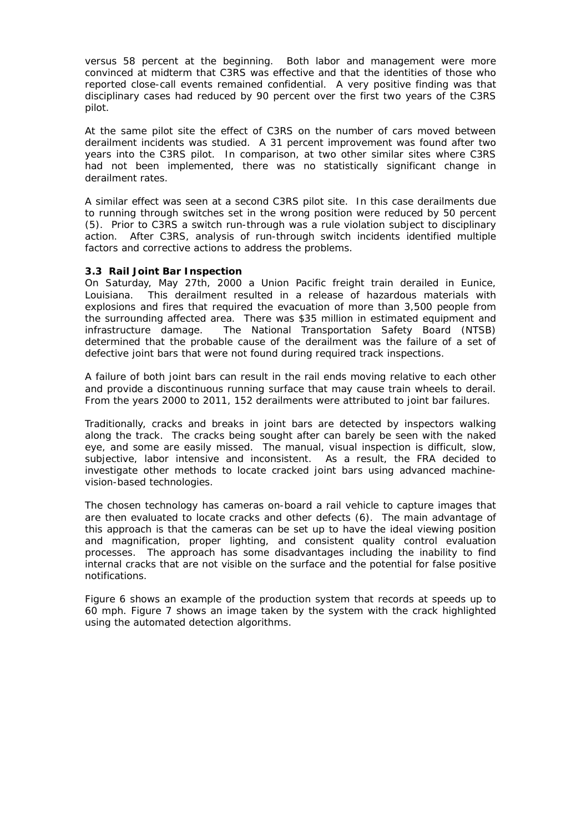versus 58 percent at the beginning. Both labor and management were more convinced at midterm that C3RS was effective and that the identities of those who reported close-call events remained confidential. A very positive finding was that disciplinary cases had reduced by 90 percent over the first two years of the C3RS pilot.

At the same pilot site the effect of C3RS on the number of cars moved between derailment incidents was studied. A 31 percent improvement was found after two years into the C3RS pilot. In comparison, at two other similar sites where C3RS had not been implemented, there was no statistically significant change in derailment rates.

A similar effect was seen at a second C3RS pilot site. In this case derailments due to running through switches set in the wrong position were reduced by 50 percent (5). Prior to C3RS a switch run-through was a rule violation subject to disciplinary action. After C3RS, analysis of run-through switch incidents identified multiple factors and corrective actions to address the problems.

#### **3.3 Rail Joint Bar Inspection**

On Saturday, May 27th, 2000 a Union Pacific freight train derailed in Eunice, Louisiana. This derailment resulted in a release of hazardous materials with explosions and fires that required the evacuation of more than 3,500 people from the surrounding affected area. There was \$35 million in estimated equipment and infrastructure damage. The National Transportation Safety Board (NTSB) determined that the probable cause of the derailment was the failure of a set of defective joint bars that were not found during required track inspections.

A failure of both joint bars can result in the rail ends moving relative to each other and provide a discontinuous running surface that may cause train wheels to derail. From the years 2000 to 2011, 152 derailments were attributed to joint bar failures.

Traditionally, cracks and breaks in joint bars are detected by inspectors walking along the track. The cracks being sought after can barely be seen with the naked eye, and some are easily missed. The manual, visual inspection is difficult, slow, subjective, labor intensive and inconsistent. As a result, the FRA decided to investigate other methods to locate cracked joint bars using advanced machinevision-based technologies.

The chosen technology has cameras on-board a rail vehicle to capture images that are then evaluated to locate cracks and other defects (6). The main advantage of this approach is that the cameras can be set up to have the ideal viewing position and magnification, proper lighting, and consistent quality control evaluation processes. The approach has some disadvantages including the inability to find internal cracks that are not visible on the surface and the potential for false positive notifications.

Figure 6 shows an example of the production system that records at speeds up to 60 mph. Figure 7 shows an image taken by the system with the crack highlighted using the automated detection algorithms.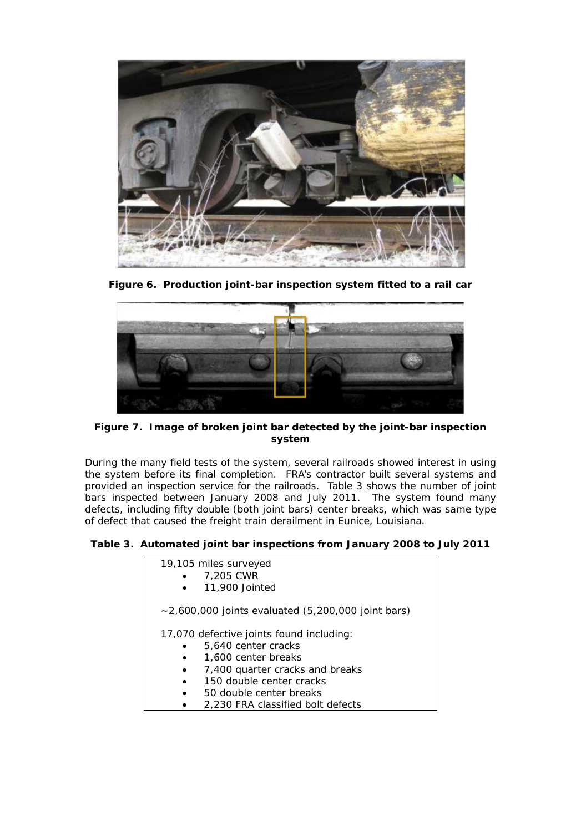

**Figure 6. Production joint-bar inspection system fitted to a rail car**



**Figure 7. Image of broken joint bar detected by the joint-bar inspection system**

During the many field tests of the system, several railroads showed interest in using the system before its final completion. FRA's contractor built several systems and provided an inspection service for the railroads. Table 3 shows the number of joint bars inspected between January 2008 and July 2011. The system found many defects, including fifty double (both joint bars) center breaks, which was same type of defect that caused the freight train derailment in Eunice, Louisiana.

## **Table 3. Automated joint bar inspections from January 2008 to July 2011**

| 19,105 miles surveyed<br>7,205 CWR<br>11,900 Jointed                                   |  |
|----------------------------------------------------------------------------------------|--|
| $\sim$ 2,600,000 joints evaluated (5,200,000 joint bars)                               |  |
| 17,070 defective joints found including:<br>5,640 center cracks<br>1,600 center breaks |  |
| 7,400 quarter cracks and breaks                                                        |  |
| 150 double center cracks                                                               |  |
| 50 double center breaks                                                                |  |

• 2,230 FRA classified bolt defects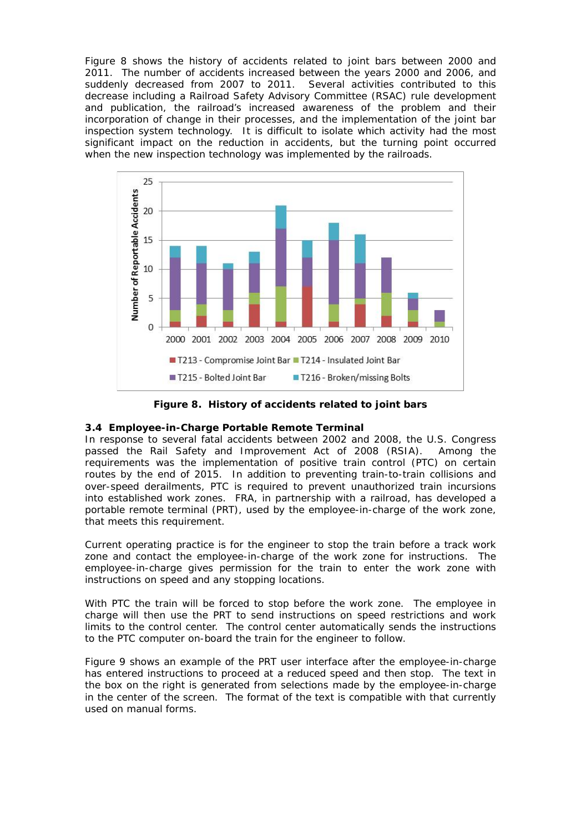Figure 8 shows the history of accidents related to joint bars between 2000 and 2011. The number of accidents increased between the years 2000 and 2006, and suddenly decreased from 2007 to 2011. Several activities contributed to this decrease including a Railroad Safety Advisory Committee (RSAC) rule development and publication, the railroad's increased awareness of the problem and their incorporation of change in their processes, and the implementation of the joint bar inspection system technology. It is difficult to isolate which activity had the most significant impact on the reduction in accidents, but the turning point occurred when the new inspection technology was implemented by the railroads.



**Figure 8. History of accidents related to joint bars**

## **3.4 Employee-in-Charge Portable Remote Terminal**

In response to several fatal accidents between 2002 and 2008, the U.S. Congress passed the Rail Safety and Improvement Act of 2008 (RSIA). Among the requirements was the implementation of positive train control (PTC) on certain routes by the end of 2015. In addition to preventing train-to-train collisions and over-speed derailments, PTC is required to prevent unauthorized train incursions into established work zones. FRA, in partnership with a railroad, has developed a portable remote terminal (PRT), used by the employee-in-charge of the work zone, that meets this requirement.

Current operating practice is for the engineer to stop the train before a track work zone and contact the employee-in-charge of the work zone for instructions. The employee-in-charge gives permission for the train to enter the work zone with instructions on speed and any stopping locations.

With PTC the train will be forced to stop before the work zone. The employee in charge will then use the PRT to send instructions on speed restrictions and work limits to the control center. The control center automatically sends the instructions to the PTC computer on-board the train for the engineer to follow.

Figure 9 shows an example of the PRT user interface after the employee-in-charge has entered instructions to proceed at a reduced speed and then stop. The text in the box on the right is generated from selections made by the employee-in-charge in the center of the screen. The format of the text is compatible with that currently used on manual forms.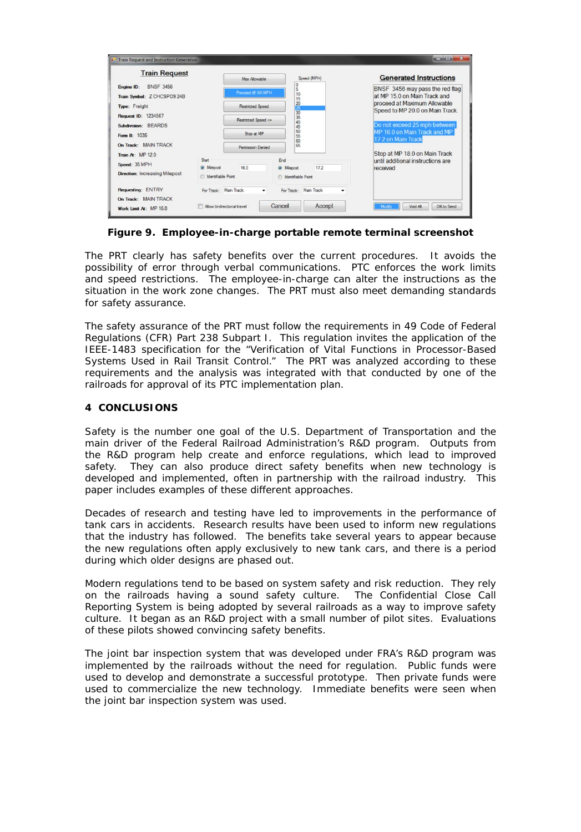| <b>Train Request</b>                                          |                             | Max Allowable<br>Proceed @ XX MPH<br><b>Restricted Speed</b> |        | Speed (MPH)                     | <b>Generated Instructions</b>                                      |
|---------------------------------------------------------------|-----------------------------|--------------------------------------------------------------|--------|---------------------------------|--------------------------------------------------------------------|
| <b>BNSF 3456</b><br>Engine ID:<br>Train Symbol: Z CHCSPO9 24B |                             |                                                              |        | $\overline{0}$<br>ŝ<br>10<br>15 | BNSF 3456 may pass the red flag<br>at MP 15.0 on Main Track and    |
| Type: Freight                                                 |                             |                                                              |        | 20<br>30<br>30                  | proceed at Maximum Allowable<br>Speed to MP 20.0 on Main Track.    |
| Request ID: 1234567<br>Subdivision: BEARDS                    |                             | Restricted Speed <=                                          |        | 35<br>40<br>45                  | Do not exceed 25 mph between                                       |
| Form B: 1035<br>On Track: MAIN TRACK                          |                             | Stop at MP<br>Permission Denied                              |        | 50<br>55<br>60                  | MP 16.0 on Main Track and MP<br>17.2 on Main Track                 |
|                                                               |                             |                                                              |        | 65                              |                                                                    |
| Train At: MP 12.0<br>Speed: 35 MPH                            | Start<br>@ Miepost          | 16.0                                                         | End    | 17.2<br>@ Miepost               | Stop at MP 18.0 on Main Track<br>until additional instructions are |
| Direction: Increasing Milepost                                | <b>B</b> Identifiable Point |                                                              |        | <b>B</b> Identifiable Point     | received                                                           |
| Requesting: ENTRY                                             | For Track: Main Track       |                                                              | ۰      | For Track: Main Track<br>٠      |                                                                    |
| On Track: MAIN TRACK<br>Work Limit At: MP 15.0                | Allow bi-directional travel |                                                              | Cancel | Accept                          | Void All<br>Modify<br>OK to Send                                   |

**Figure 9. Employee-in-charge portable remote terminal screenshot**

The PRT clearly has safety benefits over the current procedures. It avoids the possibility of error through verbal communications. PTC enforces the work limits and speed restrictions. The employee-in-charge can alter the instructions as the situation in the work zone changes. The PRT must also meet demanding standards for safety assurance.

The safety assurance of the PRT must follow the requirements in 49 Code of Federal Regulations (CFR) Part 238 Subpart I. This regulation invites the application of the IEEE-1483 specification for the "Verification of Vital Functions in Processor-Based Systems Used in Rail Transit Control." The PRT was analyzed according to these requirements and the analysis was integrated with that conducted by one of the railroads for approval of its PTC implementation plan.

#### **4 CONCLUSIONS**

Safety is the number one goal of the U.S. Department of Transportation and the main driver of the Federal Railroad Administration's R&D program. Outputs from the R&D program help create and enforce regulations, which lead to improved safety. They can also produce direct safety benefits when new technology is developed and implemented, often in partnership with the railroad industry. This paper includes examples of these different approaches.

Decades of research and testing have led to improvements in the performance of tank cars in accidents. Research results have been used to inform new regulations that the industry has followed. The benefits take several years to appear because the new regulations often apply exclusively to new tank cars, and there is a period during which older designs are phased out.

Modern regulations tend to be based on system safety and risk reduction. They rely on the railroads having a sound safety culture. The Confidential Close Call Reporting System is being adopted by several railroads as a way to improve safety culture. It began as an R&D project with a small number of pilot sites. Evaluations of these pilots showed convincing safety benefits.

The joint bar inspection system that was developed under FRA's R&D program was implemented by the railroads without the need for regulation. Public funds were used to develop and demonstrate a successful prototype. Then private funds were used to commercialize the new technology. Immediate benefits were seen when the joint bar inspection system was used.